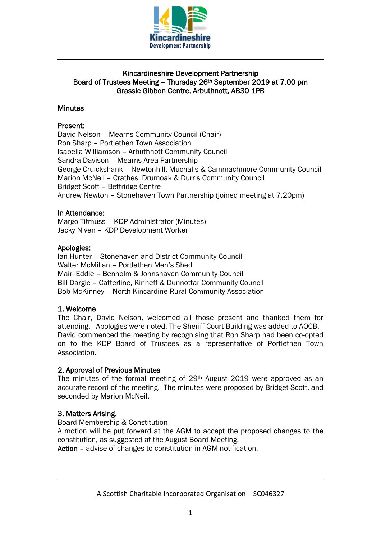

## Kincardineshire Development Partnership Board of Trustees Meeting – Thursday 26th September 2019 at 7.00 pm Grassic Gibbon Centre, Arbuthnott, AB30 1PB

### **Minutes**

### Present:

David Nelson – Mearns Community Council (Chair) Ron Sharp – Portlethen Town Association Isabella Williamson – Arbuthnott Community Council Sandra Davison – Mearns Area Partnership George Cruickshank – Newtonhill, Muchalls & Cammachmore Community Council Marion McNeil – Crathes, Drumoak & Durris Community Council Bridget Scott – Bettridge Centre Andrew Newton – Stonehaven Town Partnership (joined meeting at 7.20pm)

### In Attendance:

Margo Titmuss – KDP Administrator (Minutes) Jacky Niven – KDP Development Worker

### Apologies:

Ian Hunter – Stonehaven and District Community Council Walter McMillan – Portlethen Men's Shed Mairi Eddie – Benholm & Johnshaven Community Council Bill Dargie – Catterline, Kinneff & Dunnottar Community Council Bob McKinney – North Kincardine Rural Community Association

### 1. Welcome

The Chair, David Nelson, welcomed all those present and thanked them for attending. Apologies were noted. The Sheriff Court Building was added to AOCB. David commenced the meeting by recognising that Ron Sharp had been co-opted on to the KDP Board of Trustees as a representative of Portlethen Town Association.

### 2. Approval of Previous Minutes

The minutes of the formal meeting of 29th August 2019 were approved as an accurate record of the meeting. The minutes were proposed by Bridget Scott, and seconded by Marion McNeil.

## 3. Matters Arising.

### Board Membership & Constitution

A motion will be put forward at the AGM to accept the proposed changes to the constitution, as suggested at the August Board Meeting.

Action – advise of changes to constitution in AGM notification.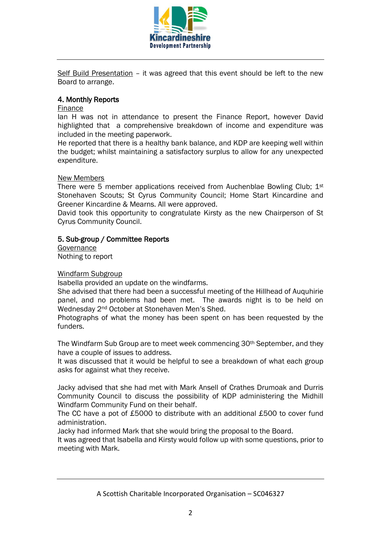

Self Build Presentation - it was agreed that this event should be left to the new Board to arrange.

# 4. Monthly Reports

### Finance

Ian H was not in attendance to present the Finance Report, however David highlighted that a comprehensive breakdown of income and expenditure was included in the meeting paperwork.

He reported that there is a healthy bank balance, and KDP are keeping well within the budget; whilst maintaining a satisfactory surplus to allow for any unexpected expenditure.

### New Members

There were 5 member applications received from Auchenblae Bowling Club;  $1<sup>st</sup>$ Stonehaven Scouts; St Cyrus Community Council; Home Start Kincardine and Greener Kincardine & Mearns. All were approved.

David took this opportunity to congratulate Kirsty as the new Chairperson of St Cyrus Community Council.

## 5. Sub-group / Committee Reports

**Governance** Nothing to report

### Windfarm Subgroup

Isabella provided an update on the windfarms.

She advised that there had been a successful meeting of the Hillhead of Auquhirie panel, and no problems had been met. The awards night is to be held on Wednesday 2nd October at Stonehaven Men's Shed.

Photographs of what the money has been spent on has been requested by the funders.

The Windfarm Sub Group are to meet week commencing 30<sup>th</sup> September, and they have a couple of issues to address.

It was discussed that it would be helpful to see a breakdown of what each group asks for against what they receive.

Jacky advised that she had met with Mark Ansell of Crathes Drumoak and Durris Community Council to discuss the possibility of KDP administering the Midhill Windfarm Community Fund on their behalf.

The CC have a pot of £5000 to distribute with an additional £500 to cover fund administration.

Jacky had informed Mark that she would bring the proposal to the Board.

It was agreed that Isabella and Kirsty would follow up with some questions, prior to meeting with Mark.

A Scottish Charitable Incorporated Organisation – SC046327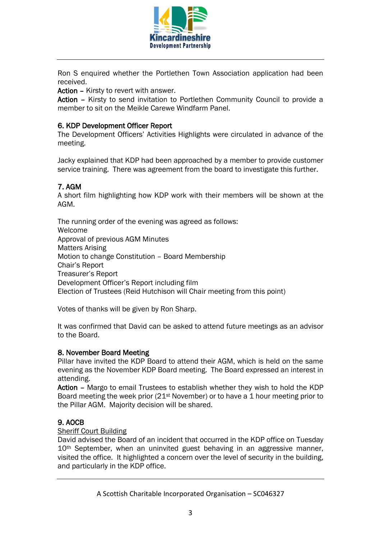

Ron S enquired whether the Portlethen Town Association application had been received.

Action – Kirsty to revert with answer.

Action – Kirsty to send invitation to Portlethen Community Council to provide a member to sit on the Meikle Carewe Windfarm Panel.

## 6. KDP Development Officer Report

The Development Officers' Activities Highlights were circulated in advance of the meeting.

Jacky explained that KDP had been approached by a member to provide customer service training. There was agreement from the board to investigate this further.

## 7. AGM

A short film highlighting how KDP work with their members will be shown at the AGM.

The running order of the evening was agreed as follows: Welcome Approval of previous AGM Minutes Matters Arising Motion to change Constitution – Board Membership Chair's Report Treasurer's Report Development Officer's Report including film Election of Trustees (Reid Hutchison will Chair meeting from this point)

Votes of thanks will be given by Ron Sharp.

It was confirmed that David can be asked to attend future meetings as an advisor to the Board.

### 8. November Board Meeting

Pillar have invited the KDP Board to attend their AGM, which is held on the same evening as the November KDP Board meeting. The Board expressed an interest in attending.

Action – Margo to email Trustees to establish whether they wish to hold the KDP Board meeting the week prior (21st November) or to have a 1 hour meeting prior to the Pillar AGM. Majority decision will be shared.

## 9. AOCB

### Sheriff Court Building

David advised the Board of an incident that occurred in the KDP office on Tuesday 10<sup>th</sup> September, when an uninvited guest behaving in an aggressive manner, visited the office. It highlighted a concern over the level of security in the building, and particularly in the KDP office.

A Scottish Charitable Incorporated Organisation – SC046327